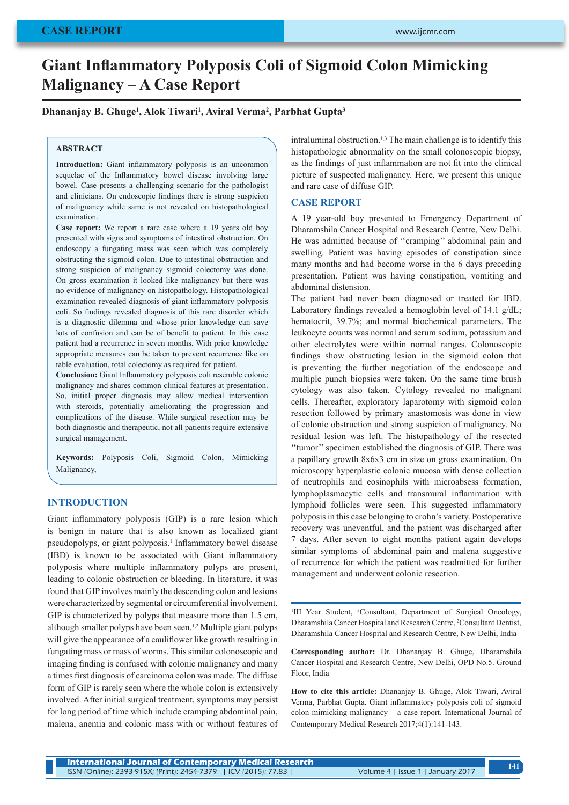# **Giant Inflammatory Polyposis Coli of Sigmoid Colon Mimicking Malignancy – A Case Report**

**Dhananjay B. Ghuge<sup>1</sup> , Alok Tiwari<sup>1</sup> , Aviral Verma<sup>2</sup> , Parbhat Gupta<sup>3</sup>**

## **ABSTRACT**

**Introduction:** Giant inflammatory polyposis is an uncommon sequelae of the Inflammatory bowel disease involving large bowel. Case presents a challenging scenario for the pathologist and clinicians. On endoscopic findings there is strong suspicion of malignancy while same is not revealed on histopathological examination.

**Case report:** We report a rare case where a 19 years old boy presented with signs and symptoms of intestinal obstruction. On endoscopy a fungating mass was seen which was completely obstructing the sigmoid colon. Due to intestinal obstruction and strong suspicion of malignancy sigmoid colectomy was done. On gross examination it looked like malignancy but there was no evidence of malignancy on histopathology. Histopathological examination revealed diagnosis of giant inflammatory polyposis coli. So findings revealed diagnosis of this rare disorder which is a diagnostic dilemma and whose prior knowledge can save lots of confusion and can be of benefit to patient. In this case patient had a recurrence in seven months. With prior knowledge appropriate measures can be taken to prevent recurrence like on table evaluation, total colectomy as required for patient.

**Conclusion:** Giant Inflammatory polyposis coli resemble colonic malignancy and shares common clinical features at presentation. So, initial proper diagnosis may allow medical intervention with steroids, potentially ameliorating the progression and complications of the disease. While surgical resection may be both diagnostic and therapeutic, not all patients require extensive surgical management.

**Keywords:** Polyposis Coli, Sigmoid Colon, Mimicking Malignancy,

# **INTRODUCTION**

Giant inflammatory polyposis (GIP) is a rare lesion which is benign in nature that is also known as localized giant pseudopolyps, or giant polyposis.<sup>1</sup> Inflammatory bowel disease (IBD) is known to be associated with Giant inflammatory polyposis where multiple inflammatory polyps are present, leading to colonic obstruction or bleeding. In literature, it was found that GIP involves mainly the descending colon and lesions were characterized by segmental or circumferential involvement. GIP is characterized by polyps that measure more than 1.5 cm, although smaller polyps have been seen.1,2 Multiple giant polyps will give the appearance of a cauliflower like growth resulting in fungating mass or mass of worms. This similar colonoscopic and imaging finding is confused with colonic malignancy and many a times first diagnosis of carcinoma colon was made. The diffuse form of GIP is rarely seen where the whole colon is extensively involved. After initial surgical treatment, symptoms may persist for long period of time which include cramping abdominal pain, malena, anemia and colonic mass with or without features of

intraluminal obstruction.<sup>1,3</sup> The main challenge is to identify this histopathologic abnormality on the small colonoscopic biopsy, as the findings of just inflammation are not fit into the clinical picture of suspected malignancy. Here, we present this unique and rare case of diffuse GIP.

# **CASE REPORT**

A 19 year-old boy presented to Emergency Department of Dharamshila Cancer Hospital and Research Centre, New Delhi. He was admitted because of ''cramping'' abdominal pain and swelling. Patient was having episodes of constipation since many months and had become worse in the 6 days preceding presentation. Patient was having constipation, vomiting and abdominal distension.

The patient had never been diagnosed or treated for IBD. Laboratory findings revealed a hemoglobin level of 14.1 g/dL; hematocrit, 39.7%; and normal biochemical parameters. The leukocyte counts was normal and serum sodium, potassium and other electrolytes were within normal ranges. Colonoscopic findings show obstructing lesion in the sigmoid colon that is preventing the further negotiation of the endoscope and multiple punch biopsies were taken. On the same time brush cytology was also taken. Cytology revealed no malignant cells. Thereafter, exploratory laparotomy with sigmoid colon resection followed by primary anastomosis was done in view of colonic obstruction and strong suspicion of malignancy. No residual lesion was left. The histopathology of the resected ''tumor'' specimen established the diagnosis of GIP. There was a papillary growth 8x6x3 cm in size on gross examination. On microscopy hyperplastic colonic mucosa with dense collection of neutrophils and eosinophils with microabsess formation, lymphoplasmacytic cells and transmural inflammation with lymphoid follicles were seen. This suggested inflammatory polyposis in this case belonging to crohn's variety. Postoperative recovery was uneventful, and the patient was discharged after 7 days. After seven to eight months patient again develops similar symptoms of abdominal pain and malena suggestive of recurrence for which the patient was readmitted for further management and underwent colonic resection.

<sup>1</sup>III Year Student, <sup>3</sup>Consultant, Department of Surgical Oncology, Dharamshila Cancer Hospital and Research Centre, <sup>2</sup>Consultant Dentist, Dharamshila Cancer Hospital and Research Centre, New Delhi, India

**Corresponding author:** Dr. Dhananjay B. Ghuge, Dharamshila Cancer Hospital and Research Centre, New Delhi, OPD No.5. Ground Floor, India

**How to cite this article:** Dhananjay B. Ghuge, Alok Tiwari, Aviral Verma, Parbhat Gupta. Giant inflammatory polyposis coli of sigmoid colon mimicking malignancy – a case report. International Journal of Contemporary Medical Research 2017;4(1):141-143.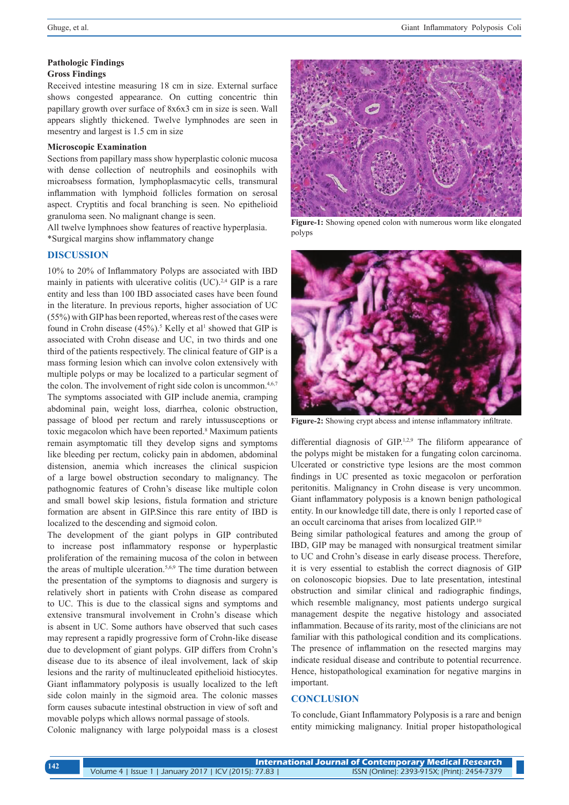#### **Pathologic Findings**

## **Gross Findings**

Received intestine measuring 18 cm in size. External surface shows congested appearance. On cutting concentric thin papillary growth over surface of 8x6x3 cm in size is seen. Wall appears slightly thickened. Twelve lymphnodes are seen in mesentry and largest is 1.5 cm in size

#### **Microscopic Examination**

Sections from papillary mass show hyperplastic colonic mucosa with dense collection of neutrophils and eosinophils with microabsess formation, lymphoplasmacytic cells, transmural inflammation with lymphoid follicles formation on serosal aspect. Cryptitis and focal branching is seen. No epithelioid granuloma seen. No malignant change is seen.

All twelve lymphnoes show features of reactive hyperplasia. \*Surgical margins show inflammatory change

## **DISCUSSION**

10% to 20% of Inflammatory Polyps are associated with IBD mainly in patients with ulcerative colitis (UC).<sup>2,4</sup> GIP is a rare entity and less than 100 IBD associated cases have been found in the literature. In previous reports, higher association of UC (55%) with GIP has been reported, whereas rest of the cases were found in Crohn disease  $(45\%)$ .<sup>5</sup> Kelly et al<sup>1</sup> showed that GIP is associated with Crohn disease and UC, in two thirds and one third of the patients respectively. The clinical feature of GIP is a mass forming lesion which can involve colon extensively with multiple polyps or may be localized to a particular segment of the colon. The involvement of right side colon is uncommon.<sup>4,6,7</sup> The symptoms associated with GIP include anemia, cramping abdominal pain, weight loss, diarrhea, colonic obstruction, passage of blood per rectum and rarely intussusceptions or toxic megacolon which have been reported.<sup>8</sup> Maximum patients remain asymptomatic till they develop signs and symptoms like bleeding per rectum, colicky pain in abdomen, abdominal distension, anemia which increases the clinical suspicion of a large bowel obstruction secondary to malignancy. The pathognomic features of Crohn's disease like multiple colon and small bowel skip lesions, fistula formation and stricture formation are absent in GIP.Since this rare entity of IBD is localized to the descending and sigmoid colon.

The development of the giant polyps in GIP contributed to increase post inflammatory response or hyperplastic proliferation of the remaining mucosa of the colon in between the areas of multiple ulceration.<sup>5,6,9</sup> The time duration between the presentation of the symptoms to diagnosis and surgery is relatively short in patients with Crohn disease as compared to UC. This is due to the classical signs and symptoms and extensive transmural involvement in Crohn's disease which is absent in UC. Some authors have observed that such cases may represent a rapidly progressive form of Crohn-like disease due to development of giant polyps. GIP differs from Crohn's disease due to its absence of ileal involvement, lack of skip lesions and the rarity of multinucleated epithelioid histiocytes. Giant inflammatory polyposis is usually localized to the left side colon mainly in the sigmoid area. The colonic masses form causes subacute intestinal obstruction in view of soft and movable polyps which allows normal passage of stools.

Colonic malignancy with large polypoidal mass is a closest



**Figure-1:** Showing opened colon with numerous worm like elongated polyps



**Figure-2:** Showing crypt abcess and intense inflammatory infiltrate.

differential diagnosis of GIP.<sup>1,2,9</sup> The filiform appearance of the polyps might be mistaken for a fungating colon carcinoma. Ulcerated or constrictive type lesions are the most common findings in UC presented as toxic megacolon or perforation peritonitis. Malignancy in Crohn disease is very uncommon. Giant inflammatory polyposis is a known benign pathological entity. In our knowledge till date, there is only 1 reported case of an occult carcinoma that arises from localized GIP.10

Being similar pathological features and among the group of IBD, GIP may be managed with nonsurgical treatment similar to UC and Crohn's disease in early disease process. Therefore, it is very essential to establish the correct diagnosis of GIP on colonoscopic biopsies. Due to late presentation, intestinal obstruction and similar clinical and radiographic findings, which resemble malignancy, most patients undergo surgical management despite the negative histology and associated inflammation. Because of its rarity, most of the clinicians are not familiar with this pathological condition and its complications. The presence of inflammation on the resected margins may indicate residual disease and contribute to potential recurrence. Hence, histopathological examination for negative margins in important.

#### **CONCLUSION**

To conclude, Giant Inflammatory Polyposis is a rare and benign entity mimicking malignancy. Initial proper histopathological